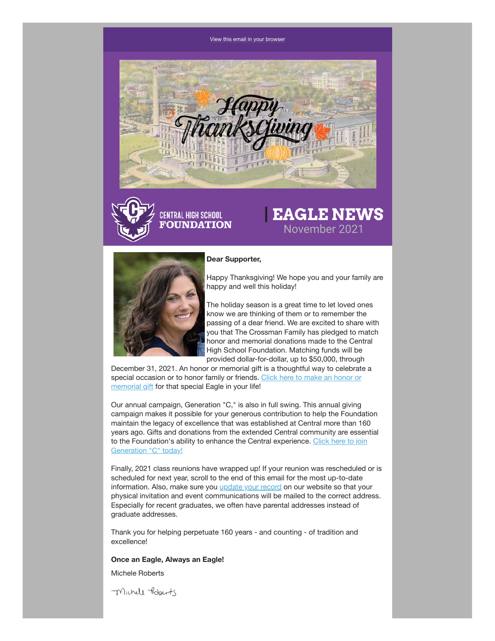#### [View this email in your browser](https://mailchi.mp/chsfomaha/latrell-wrightsell-jr-sets-new-school-record-for-most-points-scored-in-a-single-game-6251022?e=[UNIQID])





# **| EAGLE NEWS** November 2021



#### **Dear Supporter,**

Happy Thanksgiving! We hope you and your family are happy and well this holiday!

The holiday season is a great time to let loved ones know we are thinking of them or to remember the passing of a dear friend. We are excited to share with you that The Crossman Family has pledged to match honor and memorial donations made to the Central High School Foundation. Matching funds will be provided dollar-for-dollar, up to \$50,000, through

December 31, 2021. An honor or memorial gift is a thoughtful way to celebrate a [special occasion or to honor family or friends. Click here to make an honor or](https://chsfomaha.org/support/memorial-giving/) memorial gift for that special Eagle in your life!

Our annual campaign, Generation "C," is also in full swing. This annual giving campaign makes it possible for your generous contribution to help the Foundation maintain the legacy of excellence that was established at Central more than 160 years ago. Gifts and donations from the extended Central community are essential [to the Foundation's ability to enhance the Central experience. Click here to join](https://chsfomaha.org/support/generation-c/) Generation "C" today!

Finally, 2021 class reunions have wrapped up! If your reunion was rescheduled or is scheduled for next year, scroll to the end of this email for the most up-to-date information. Also, make sure you [update your record](https://chsfomaha.org/alumni/update-your-record/) on our website so that your physical invitation and event communications will be mailed to the correct address. Especially for recent graduates, we often have parental addresses instead of graduate addresses.

Thank you for helping perpetuate 160 years - and counting - of tradition and excellence!

#### **Once an Eagle, Always an Eagle!**

Michele Roberts

Michell Roberts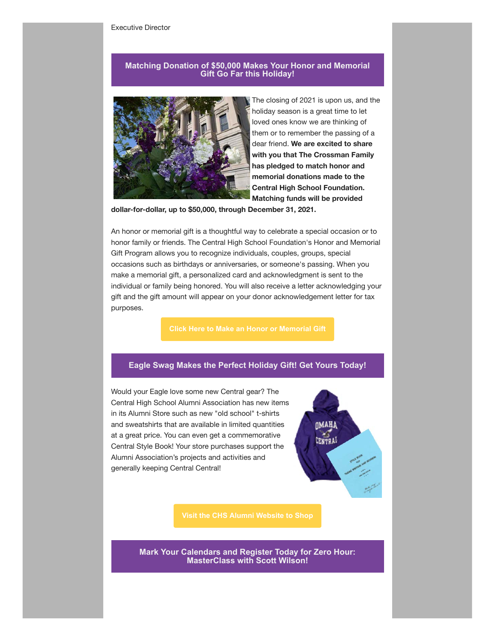#### **Matching Donation of \$50,000 Makes Your Honor and Memorial Gift Go Far this Holiday!**



The closing of 2021 is upon us, and the holiday season is a great time to let loved ones know we are thinking of them or to remember the passing of a dear friend. **We are excited to share with you that The Crossman Family has pledged to match honor and memorial donations made to the Central High School Foundation. Matching funds will be provided**

**dollar-for-dollar, up to \$50,000, through December 31, 2021.**

An honor or memorial gift is a thoughtful way to celebrate a special occasion or to honor family or friends. The Central High School Foundation's Honor and Memorial Gift Program allows you to recognize individuals, couples, groups, special occasions such as birthdays or anniversaries, or someone's passing. When you make a memorial gift, a personalized card and acknowledgment is sent to the individual or family being honored. You will also receive a letter acknowledging your gift and the gift amount will appear on your donor acknowledgement letter for tax purposes.

### **Eagle Swag Makes the Perfect Holiday Gift! Get Yours Today!**

Would your Eagle love some new Central gear? The Central High School Alumni Association has new items in its Alumni Store such as new "old school" t-shirts and sweatshirts that are available in limited quantities at a great price. You can even get a commemorative Central Style Book! Your store purchases support the Alumni Association's projects and activities and generally keeping Central Central!



**Mark Your Calendars and Register Today for Zero Hour: MasterClass with Scott Wilson!**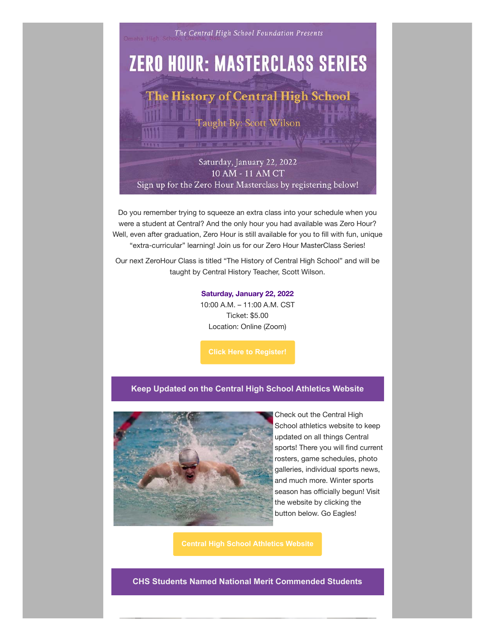

Do you remember trying to squeeze an extra class into your schedule when you were a student at Central? And the only hour you had available was Zero Hour? Well, even after graduation, Zero Hour is still available for you to fill with fun, unique "extra-curricular" learning! Join us for our Zero Hour MasterClass Series!

Our next ZeroHour Class is titled "The History of Central High School" and will be taught by Central History Teacher, Scott Wilson.

#### **Saturday, January 22, 2022**

10:00 A.M. – 11:00 A.M. CST Ticket: \$5.00 Location: Online (Zoom)

# **Keep Updated on the Central High School Athletics Website**



Check out the Central High School athletics website to keep updated on all things Central sports! There you will find current rosters, game schedules, photo galleries, individual sports news, and much more. Winter sports season has officially begun! Visit the website by clicking the button below. Go Eagles!

**CHS Students Named National Merit Commended Students**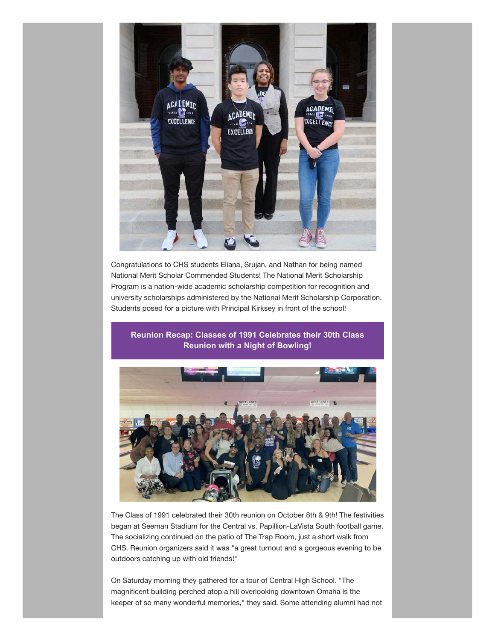

Congratulations to CHS students Eliana, Srujan, and Nathan for being named National Merit Scholar Commended Students! The National Merit Scholarship Program is a nation-wide academic scholarship competition for recognition and university scholarships administered by the National Merit Scholarship Corporation. Students posed for a picture with Principal Kirksey in front of the school!

# **Reunion Recap: Classes of 1991 Celebrates their 30th Class Reunion with a Night of Bowling!**



The Class of 1991 celebrated their 30th reunion on October 8th & 9th! The festivities began at Seeman Stadium for the Central vs. Papillion-LaVista South football game. The socializing continued on the patio of The Trap Room, just a short walk from CHS. Reunion organizers said it was "a great turnout and a gorgeous evening to be outdoors catching up with old friends!"

On Saturday morning they gathered for a tour of Central High School. "The magnificent building perched atop a hill overlooking downtown Omaha is the keeper of so many wonderful memories," they said. Some attending alumni had not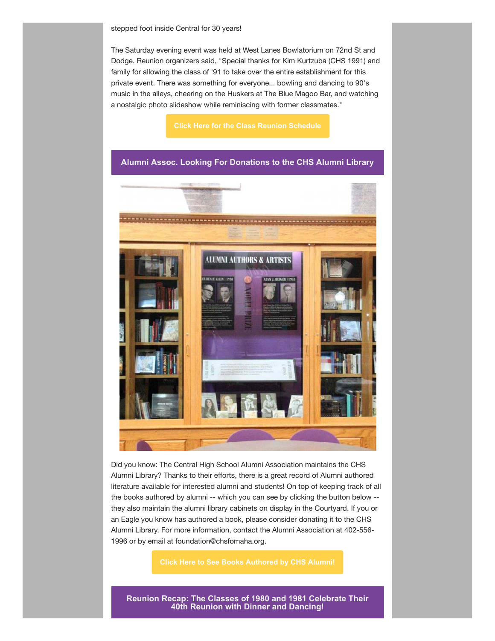The Saturday evening event was held at West Lanes Bowlatorium on 72nd St and Dodge. Reunion organizers said, "Special thanks for Kim Kurtzuba (CHS 1991) and family for allowing the class of '91 to take over the entire establishment for this private event. There was something for everyone... bowling and dancing to 90's music in the alleys, cheering on the Huskers at The Blue Magoo Bar, and watching a nostalgic photo slideshow while reminiscing with former classmates."

#### **Alumni Assoc. Looking For Donations to the CHS Alumni Library**



Did you know: The Central High School Alumni Association maintains the CHS Alumni Library? Thanks to their efforts, there is a great record of Alumni authored literature available for interested alumni and students! On top of keeping track of all the books authored by alumni -- which you can see by clicking the button below - they also maintain the alumni library cabinets on display in the Courtyard. If you or an Eagle you know has authored a book, please consider donating it to the CHS Alumni Library. For more information, contact the Alumni Association at 402-556- 1996 or by email at foundation@chsfomaha.org.

**[Click Here to See Books Authored by CHS Alumni!](https://chsfomaha.org/alumni/alumni-library/)**

**Reunion Recap: The Classes of 1980 and 1981 Celebrate Their 40th Reunion with Dinner and Dancing!**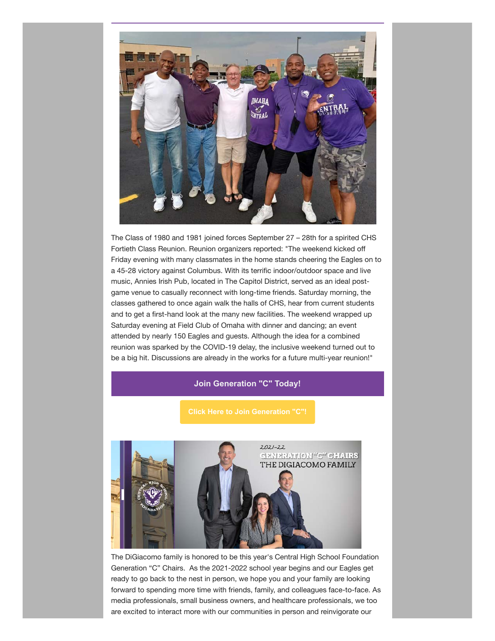

The Class of 1980 and 1981 joined forces September 27 – 28th for a spirited CHS Fortieth Class Reunion. Reunion organizers reported: "The weekend kicked off Friday evening with many classmates in the home stands cheering the Eagles on to a 45-28 victory against Columbus. With its terrific indoor/outdoor space and live music, Annies Irish Pub, located in The Capitol District, served as an ideal postgame venue to casually reconnect with long-time friends. Saturday morning, the classes gathered to once again walk the halls of CHS, hear from current students and to get a first-hand look at the many new facilities. The weekend wrapped up Saturday evening at Field Club of Omaha with dinner and dancing; an event attended by nearly 150 Eagles and guests. Although the idea for a combined reunion was sparked by the COVID-19 delay, the inclusive weekend turned out to be a big hit. Discussions are already in the works for a future multi-year reunion!"

# **Join Generation "C" Today!**



The DiGiacomo family is honored to be this year's Central High School Foundation Generation "C" Chairs. As the 2021-2022 school year begins and our Eagles get ready to go back to the nest in person, we hope you and your family are looking forward to spending more time with friends, family, and colleagues face-to-face. As media professionals, small business owners, and healthcare professionals, we too are excited to interact more with our communities in person and reinvigorate our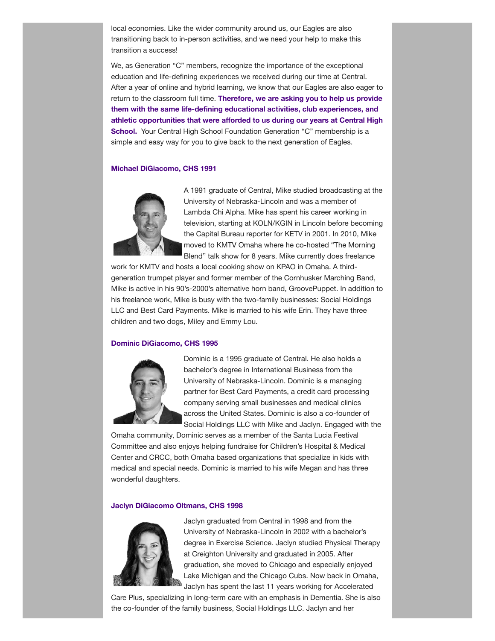local economies. Like the wider community around us, our Eagles are also transitioning back to in-person activities, and we need your help to make this transition a success!

We, as Generation "C" members, recognize the importance of the exceptional education and life-defining experiences we received during our time at Central. After a year of online and hybrid learning, we know that our Eagles are also eager to return to the classroom full time. **Therefore, we are asking you to help us provide them with the same life-defining educational activities, club experiences, and athletic opportunities that were afforded to us during our years at Central High School.** Your Central High School Foundation Generation "C" membership is a simple and easy way for you to give back to the next generation of Eagles.

#### **Michael DiGiacomo, CHS 1991**



A 1991 graduate of Central, Mike studied broadcasting at the University of Nebraska-Lincoln and was a member of Lambda Chi Alpha. Mike has spent his career working in television, starting at KOLN/KGIN in Lincoln before becoming the Capital Bureau reporter for KETV in 2001. In 2010, Mike moved to KMTV Omaha where he co-hosted "The Morning Blend" talk show for 8 years. Mike currently does freelance

work for KMTV and hosts a local cooking show on KPAO in Omaha. A thirdgeneration trumpet player and former member of the Cornhusker Marching Band, Mike is active in his 90's-2000's alternative horn band, GroovePuppet. In addition to his freelance work, Mike is busy with the two-family businesses: Social Holdings LLC and Best Card Payments. Mike is married to his wife Erin. They have three children and two dogs, Miley and Emmy Lou.

#### **Dominic DiGiacomo, CHS 1995**



Dominic is a 1995 graduate of Central. He also holds a bachelor's degree in International Business from the University of Nebraska-Lincoln. Dominic is a managing partner for Best Card Payments, a credit card processing company serving small businesses and medical clinics across the United States. Dominic is also a co-founder of Social Holdings LLC with Mike and Jaclyn. Engaged with the

Omaha community, Dominic serves as a member of the Santa Lucia Festival Committee and also enjoys helping fundraise for Children's Hospital & Medical Center and CRCC, both Omaha based organizations that specialize in kids with medical and special needs. Dominic is married to his wife Megan and has three wonderful daughters.

#### **Jaclyn DiGiacomo Oltmans, CHS 1998**



Jaclyn graduated from Central in 1998 and from the University of Nebraska-Lincoln in 2002 with a bachelor's degree in Exercise Science. Jaclyn studied Physical Therapy at Creighton University and graduated in 2005. After graduation, she moved to Chicago and especially enjoyed Lake Michigan and the Chicago Cubs. Now back in Omaha, Jaclyn has spent the last 11 years working for Accelerated

Care Plus, specializing in long-term care with an emphasis in Dementia. She is also the co-founder of the family business, Social Holdings LLC. Jaclyn and her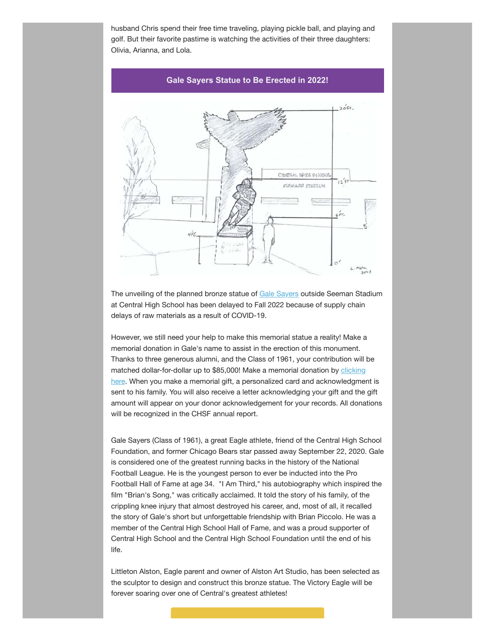husband Chris spend their free time traveling, playing pickle ball, and playing and golf. But their favorite pastime is watching the activities of their three daughters: Olivia, Arianna, and Lola.

#### **Gale Sayers Statue to Be Erected in 2022!**



The unveiling of the planned bronze statue of [Gale Sayers](https://chsfomaha.org/halloffame/gale-sayers/) outside Seeman Stadium at Central High School has been delayed to Fall 2022 because of supply chain delays of raw materials as a result of COVID-19.

However, we still need your help to make this memorial statue a reality! Make a memorial donation in Gale's name to assist in the erection of this monument. Thanks to three generous alumni, and the Class of 1961, your contribution will be [matched dollar-for-dollar up to \\$85,000! Make a memorial donation by clicking](https://chsfomaha.org/support/memorial-giving/) here. When you make a memorial gift, a personalized card and acknowledgment is sent to his family. You will also receive a letter acknowledging your gift and the gift amount will appear on your donor acknowledgement for your records. All donations will be recognized in the CHSF annual report.

Gale Sayers (Class of 1961), a great Eagle athlete, friend of the Central High School Foundation, and former Chicago Bears star passed away September 22, 2020. Gale is considered one of the greatest running backs in the history of the National Football League. He is the youngest person to ever be inducted into the Pro Football Hall of Fame at age 34. "I Am Third," his autobiography which inspired the film "Brian's Song," was critically acclaimed. It told the story of his family, of the crippling knee injury that almost destroyed his career, and, most of all, it recalled the story of Gale's short but unforgettable friendship with Brian Piccolo. He was a member of the Central High School Hall of Fame, and was a proud supporter of Central High School and the Central High School Foundation until the end of his life.

Littleton Alston, Eagle parent and owner of Alston Art Studio, has been selected as the sculptor to design and construct this bronze statue. The Victory Eagle will be forever soaring over one of Central's greatest athletes!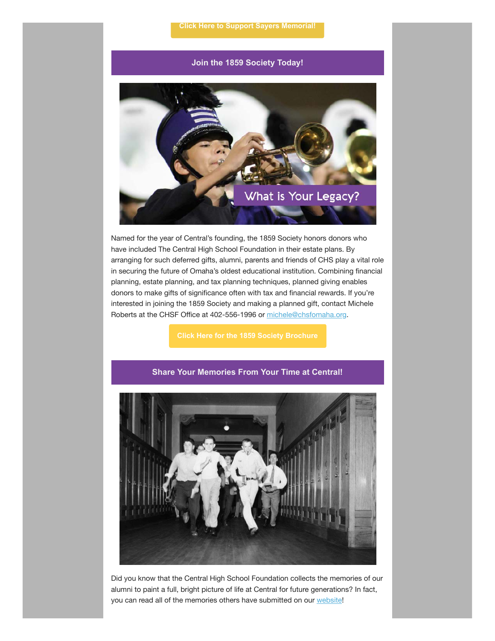# **Join the 1859 Society Today!**



Named for the year of Central's founding, the 1859 Society honors donors who have included The Central High School Foundation in their estate plans. By arranging for such deferred gifts, alumni, parents and friends of CHS play a vital role in securing the future of Omaha's oldest educational institution. Combining financial planning, estate planning, and tax planning techniques, planned giving enables donors to make gifts of significance often with tax and financial rewards. If you're interested in joining the 1859 Society and making a planned gift, contact Michele Roberts at the CHSF Office at 402-556-1996 or [michele@chsfomaha.org.](mailto:michele@chsfomaha.org)



#### **Share Your Memories From Your Time at Central!**

Did you know that the Central High School Foundation collects the memories of our alumni to paint a full, bright picture of life at Central for future generations? In fact, you can read all of the memories others have submitted on our [website](https://chsfomaha.org/alumni/chs-memories/)!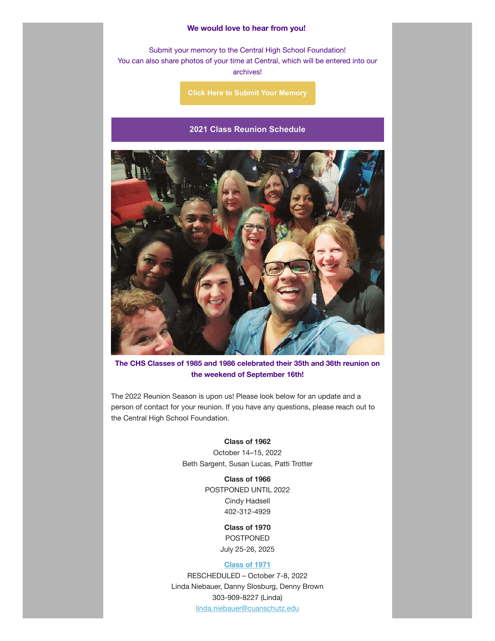#### **We would love to hear from you!**

Submit your memory to the Central High School Foundation! You can also share photos of your time at Central, which will be entered into our archives!

**[Click Here to Submit Your Memory](https://chsfomaha.org/alumni/memories-of-central/)**

### **2021 Class Reunion Schedule**



**The CHS Classes of 1985 and 1986 celebrated their 35th and 36th reunion on the weekend of September 16th!**

The 2022 Reunion Season is upon us! Please look below for an update and a person of contact for your reunion. If you have any questions, please reach out to the Central High School Foundation.

# **Class of 1962**

October 14–15, 2022 Beth Sargent, Susan Lucas, Patti Trotter

> **Class of 1966** POSTPONED UNTIL 2022 Cindy Hadsell 402-312-4929

> > **Class of 1970** POSTPONED July 25-26, 2025

### **[Class](https://chsfomaha.org/events/class-of-1971-reunion/) of 1971**

RESCHEDULED – October 7-8, 2022 Linda Niebauer, Danny Slosburg, Denny Brown 303-909-8227 (Linda) [linda.niebauer@cuanschutz.edu](mailto:linda.niebauer@cuanschutz.edu)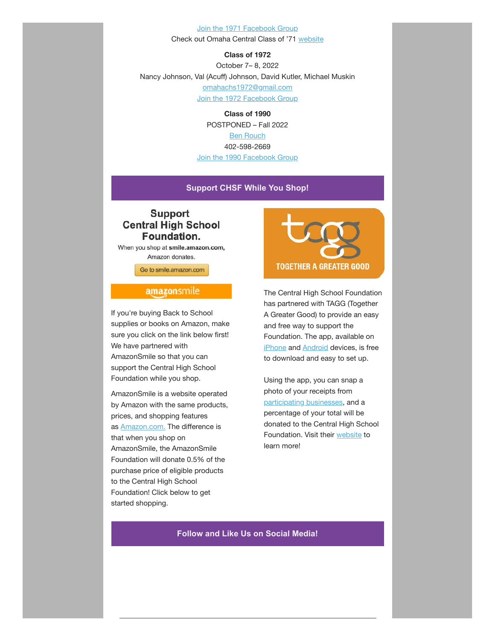#### [Join the 1971 Facebook Group](https://www.facebook.com/groups/112224362181582)

Check out Omaha Central Class of '71 [website](https://omahacentral71.classquest.com/)

**Class of 1972**

October 7– 8, 2022 Nancy Johnson, Val (Acuff) Johnson, David Kutler, Michael Muskin [omahachs1972@gmail.com](mailto:omahachs1972@gmail.com) [Join the 1972 Facebook Group](https://www.facebook.com/OmahaCHS1972)

> **Class of 1990** POSTPONED – Fall 2022 [Ben Rouch](mailto:benjamin.rouch@me.com) 402-598-2669 [Join the 1990 Facebook Group](https://www.facebook.com/omahacentralhighclassof1990/)

# **Support CHSF While You Shop!**

# **Support Central High School** Foundation.

When you shop at smile.amazon.com, Amazon donates.

Go to smile.amazon.com

# amazonsmile

If you're buying Back to School supplies or books on Amazon, make sure you click on the link below first! We have partnered with AmazonSmile so that you can support the Central High School Foundation while you shop.

AmazonSmile is a website operated by Amazon with the same products, prices, and shopping features as [Amazon.com.](http://amazon.com/?fbclid=IwAR1ko2vxLWKZsBVyFJaHybT_0nwcY1JSDpj6_0klZWqI7D5c8u5ErkuaEj0) The difference is that when you shop on AmazonSmile, the AmazonSmile Foundation will donate 0.5% of the purchase price of eligible products to the Central High School Foundation! Click below to get started shopping.



The Central High School Foundation has partnered with TAGG (Together A Greater Good) to provide an easy and free way to support the Foundation. The app, available on [iPhone](https://itunes.apple.com/us/app/together-a-greater-good/id900641585?ls=1&mt=8) and **[Android](https://play.google.com/store/apps/details?id=com.agilxtagg.android)** devices, is free to download and easy to set up.

Using the app, you can snap a photo of your receipts from [participating businesses](https://togetheragreatergood.com/participating-businesses/), and a percentage of your total will be donated to the Central High School Foundation. Visit their [website](https://togetheragreatergood.com/) to learn more!

# **Follow and Like Us on Social Media!**